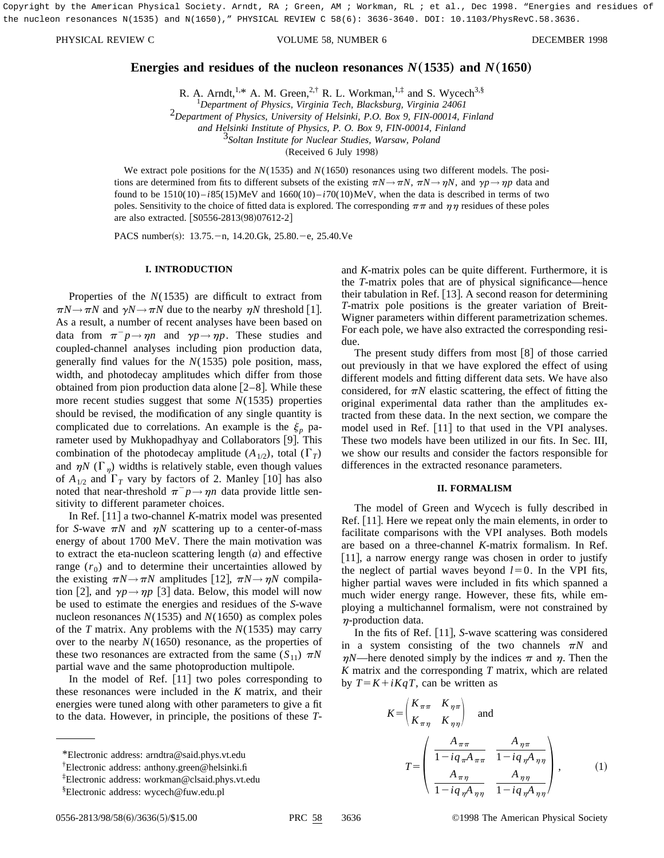Copyright by the American Physical Society. Arndt, RA ; Green, AM ; Workman, RL ; et al., Dec 1998. "Energies and residues of the nucleon resonances N(1535) and N(1650)," PHYSICAL REVIEW C 58(6): 3636-3640. DOI: 10.1103/PhysRevC.58.3636.

#### PHYSICAL REVIEW C VOLUME 58, NUMBER 6 DECEMBER 1998

# **Energies and residues of the nucleon resonances**  $N(1535)$  **and**  $N(1650)$

R. A. Arndt,<sup>1,\*</sup> A. M. Green,<sup>2,†</sup> R. L. Workman,<sup>1,‡</sup> and S. Wycech<sup>3,§</sup>

<sup>1</sup>Department of Physics, Virginia Tech, Blacksburg, Virginia 24061 *Department of Physics, Virginia Tech, Blacksburg, Virginia 24061* <sup>2</sup>*Department of Physics, University of Helsinki, P.O. Box 9, FIN-00014, Finland and Helsinki Institute of Physics, P. O. Box 9, FIN-00014, Finland* <sup>3</sup>*Soltan Institute for Nuclear Studies, Warsaw, Poland* (Received 6 July 1998)

We extract pole positions for the *N*(1535) and *N*(1650) resonances using two different models. The positions are determined from fits to different subsets of the existing  $\pi N \rightarrow \pi N$ ,  $\pi N \rightarrow \eta N$ , and  $\gamma p \rightarrow \eta p$  data and found to be  $1510(10) - i85(15)$ MeV and  $1660(10) - i70(10)$ MeV, when the data is described in terms of two poles. Sensitivity to the choice of fitted data is explored. The corresponding  $\pi\pi$  and  $\eta\eta$  residues of these poles are also extracted. [S0556-2813(98)07612-2]

PACS number(s): 13.75. - n, 14.20.Gk, 25.80. - e, 25.40. Ve

## **I. INTRODUCTION**

Properties of the *N*(1535) are difficult to extract from  $\pi N \rightarrow \pi N$  and  $\gamma N \rightarrow \pi N$  due to the nearby  $\eta N$  threshold [1]. As a result, a number of recent analyses have been based on data from  $\pi^- p \rightarrow \eta n$  and  $\gamma p \rightarrow \eta p$ . These studies and coupled-channel analyses including pion production data, generally find values for the *N*(1535) pole position, mass, width, and photodecay amplitudes which differ from those obtained from pion production data alone  $[2-8]$ . While these more recent studies suggest that some *N*(1535) properties should be revised, the modification of any single quantity is complicated due to correlations. An example is the  $\xi_p$  parameter used by Mukhopadhyay and Collaborators [9]. This combination of the photodecay amplitude  $(A_{1/2})$ , total  $(\Gamma_T)$ and  $\eta N$  ( $\Gamma_n$ ) widths is relatively stable, even though values of  $A_{1/2}$  and  $\Gamma_T$  vary by factors of 2. Manley [10] has also noted that near-threshold  $\pi^- p \rightarrow \eta n$  data provide little sensitivity to different parameter choices.

In Ref.  $\lceil 11 \rceil$  a two-channel *K*-matrix model was presented for *S*-wave  $\pi N$  and  $\eta N$  scattering up to a center-of-mass energy of about 1700 MeV. There the main motivation was to extract the eta-nucleon scattering length  $(a)$  and effective range  $(r_0)$  and to determine their uncertainties allowed by the existing  $\pi N \rightarrow \pi N$  amplitudes [12],  $\pi N \rightarrow \eta N$  compilation [2], and  $\gamma p \rightarrow \eta p$  [3] data. Below, this model will now be used to estimate the energies and residues of the *S*-wave nucleon resonances *N*(1535) and *N*(1650) as complex poles of the *T* matrix. Any problems with the *N*(1535) may carry over to the nearby  $N(1650)$  resonance, as the properties of these two resonances are extracted from the same  $(S_{11}) \pi N$ partial wave and the same photoproduction multipole.

In the model of Ref.  $[11]$  two poles corresponding to these resonances were included in the *K* matrix, and their energies were tuned along with other parameters to give a fit to the data. However, in principle, the positions of these *T*- and *K*-matrix poles can be quite different. Furthermore, it is the *T*-matrix poles that are of physical significance—hence their tabulation in Ref.  $[13]$ . A second reason for determining *T*-matrix pole positions is the greater variation of Breit-Wigner parameters within different parametrization schemes. For each pole, we have also extracted the corresponding residue.

The present study differs from most  $[8]$  of those carried out previously in that we have explored the effect of using different models and fitting different data sets. We have also considered, for  $\pi N$  elastic scattering, the effect of fitting the original experimental data rather than the amplitudes extracted from these data. In the next section, we compare the model used in Ref.  $[11]$  to that used in the VPI analyses. These two models have been utilized in our fits. In Sec. III, we show our results and consider the factors responsible for differences in the extracted resonance parameters.

#### **II. FORMALISM**

The model of Green and Wycech is fully described in Ref.  $[11]$ . Here we repeat only the main elements, in order to facilitate comparisons with the VPI analyses. Both models are based on a three-channel *K*-matrix formalism. In Ref.  $[11]$ , a narrow energy range was chosen in order to justify the neglect of partial waves beyond  $l=0$ . In the VPI fits, higher partial waves were included in fits which spanned a much wider energy range. However, these fits, while employing a multichannel formalism, were not constrained by  $\eta$ -production data.

In the fits of Ref. [11], *S*-wave scattering was considered in a system consisting of the two channels  $\pi N$  and  $\eta N$ —here denoted simply by the indices  $\pi$  and  $\eta$ . Then the *K* matrix and the corresponding *T* matrix, which are related by  $T = K + iKqT$ , can be written as

$$
K = \begin{pmatrix} K_{\pi\pi} & K_{\eta\pi} \\ K_{\pi\eta} & K_{\eta\eta} \end{pmatrix} \text{ and}
$$
  

$$
T = \begin{pmatrix} \frac{A_{\pi\pi}}{1 - iq_{\pi}A_{\pi\pi}} & \frac{A_{\eta\pi}}{1 - iq_{\eta}A_{\eta\eta}} \\ \frac{A_{\pi\eta}}{1 - iq_{\eta}A_{\eta\eta}} & \frac{A_{\eta\eta}}{1 - iq_{\eta}A_{\eta\eta}} \end{pmatrix},
$$
 (1)

<sup>\*</sup>Electronic address: arndtra@said.phys.vt.edu

<sup>†</sup> Electronic address: anthony.green@helsinki.fi

<sup>‡</sup> Electronic address: workman@clsaid.phys.vt.edu

<sup>§</sup> Electronic address: wycech@fuw.edu.pl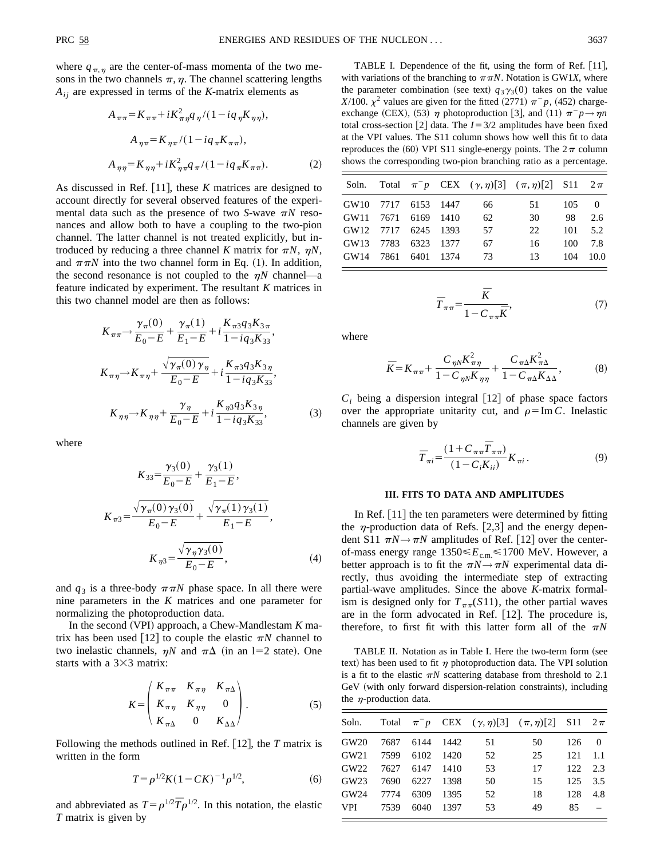where  $q_{\pi,n}$  are the center-of-mass momenta of the two mesons in the two channels  $\pi$ ,  $\eta$ . The channel scattering lengths  $A_{ij}$  are expressed in terms of the *K*-matrix elements as

$$
A_{\pi\pi} = K_{\pi\pi} + iK_{\pi\eta}^{2}q_{\eta}/(1 - iq_{\eta}K_{\eta\eta}),
$$
  
\n
$$
A_{\eta\pi} = K_{\eta\pi}/(1 - iq_{\pi}K_{\pi\pi}),
$$
  
\n
$$
A_{\eta\eta} = K_{\eta\eta} + iK_{\eta\pi}^{2}q_{\pi}/(1 - iq_{\pi}K_{\pi\pi}).
$$
\n(2)

As discussed in Ref. [11], these *K* matrices are designed to account directly for several observed features of the experimental data such as the presence of two *S*-wave  $\pi N$  resonances and allow both to have a coupling to the two-pion channel. The latter channel is not treated explicitly, but introduced by reducing a three channel *K* matrix for  $\pi N$ ,  $\eta N$ , and  $\pi \pi N$  into the two channel form in Eq. (1). In addition, the second resonance is not coupled to the  $\eta N$  channel—a feature indicated by experiment. The resultant *K* matrices in this two channel model are then as follows:

$$
K_{\pi\pi} \to \frac{\gamma_{\pi}(0)}{E_0 - E} + \frac{\gamma_{\pi}(1)}{E_1 - E} + i \frac{K_{\pi 3} q_3 K_{3\pi}}{1 - i q_3 K_{33}},
$$
  
\n
$$
K_{\pi\eta} \to K_{\pi\eta} + \frac{\sqrt{\gamma_{\pi}(0) \gamma_{\eta}}}{E_0 - E} + i \frac{K_{\pi 3} q_3 K_{3\eta}}{1 - i q_3 K_{33}},
$$
  
\n
$$
K_{\eta\eta} \to K_{\eta\eta} + \frac{\gamma_{\eta}}{E_0 - E} + i \frac{K_{\eta 3} q_3 K_{3\eta}}{1 - i q_3 K_{33}},
$$
 (3)

where

$$
K_{33} = \frac{\gamma_3(0)}{E_0 - E} + \frac{\gamma_3(1)}{E_1 - E},
$$
  

$$
K_{\pi 3} = \frac{\sqrt{\gamma_\pi(0) \gamma_3(0)}}{E_0 - E} + \frac{\sqrt{\gamma_\pi(1) \gamma_3(1)}}{E_1 - E},
$$
  

$$
K_{\eta 3} = \frac{\sqrt{\gamma_\eta \gamma_3(0)}}{E_0 - E},
$$
 (4)

and  $q_3$  is a three-body  $\pi \pi N$  phase space. In all there were nine parameters in the *K* matrices and one parameter for normalizing the photoproduction data.

In the second  $(VPI)$  approach, a Chew-Mandlestam  $K$  matrix has been used [12] to couple the elastic  $\pi N$  channel to two inelastic channels,  $\eta N$  and  $\pi\Delta$  (in an l=2 state). One starts with a  $3\times3$  matrix:

$$
K = \begin{pmatrix} K_{\pi\pi} & K_{\pi\eta} & K_{\pi\Delta} \\ K_{\pi\eta} & K_{\eta\eta} & 0 \\ K_{\pi\Delta} & 0 & K_{\Delta\Delta} \end{pmatrix} . \tag{5}
$$

Following the methods outlined in Ref.  $[12]$ , the *T* matrix is written in the form

$$
T = \rho^{1/2} K (1 - C K)^{-1} \rho^{1/2}, \tag{6}
$$

and abbreviated as  $T = \rho^{1/2} \overline{T} \rho^{1/2}$ . In this notation, the elastic *T* matrix is given by

TABLE I. Dependence of the fit, using the form of Ref. [11], with variations of the branching to  $\pi\pi N$ . Notation is GW1*X*, where the parameter combination (see text)  $q_3 \gamma_3(0)$  takes on the value *X*/100.  $\chi^2$  values are given for the fitted (2771)  $\pi^- p$ , (452) chargeexchange (CEX), (53)  $\eta$  photoproduction [3], and (11)  $\pi^- p \rightarrow \eta n$ total cross-section [2] data. The  $I=3/2$  amplitudes have been fixed at the VPI values. The S11 column shows how well this fit to data reproduces the (60) VPI S11 single-energy points. The  $2\pi$  column shows the corresponding two-pion branching ratio as a percentage.

|                        |  |     | Soln. Total $\pi^- p$ CEX $(\gamma, \eta)[3]$ $(\pi, \eta)[2]$ S11 $2\pi$ |             |      |
|------------------------|--|-----|---------------------------------------------------------------------------|-------------|------|
| GW10 7717 6153 1447    |  | 66. | 51 —                                                                      | $105 \t 0$  |      |
| GW11 7671 6169 1410    |  | 62  | 30                                                                        | 98          | 2.6  |
| GW12 7717 6245 1393    |  | 57  | 22.                                                                       | $101 - 5.2$ |      |
| GW13 7783 6323 1377    |  | 67  | 16                                                                        | 100         | 7.8  |
| GW14 7861 6401 1374 73 |  |     | 13 <sup>7</sup>                                                           | 104         | 10.0 |
|                        |  |     |                                                                           |             |      |

$$
\overline{T}_{\pi\pi} = \frac{\overline{K}}{1 - C_{\pi\pi}\overline{K}},\tag{7}
$$

where

$$
\bar{K} = K_{\pi\pi} + \frac{C_{\eta N} K_{\pi\eta}^2}{1 - C_{\eta N} K_{\eta\eta}} + \frac{C_{\pi\Delta} K_{\pi\Delta}^2}{1 - C_{\pi\Delta} K_{\Delta\Delta}},
$$
(8)

 $C_i$  being a dispersion integral [12] of phase space factors over the appropriate unitarity cut, and  $\rho = \text{Im } C$ . Inelastic channels are given by

$$
\overline{T}_{\pi i} = \frac{(1 + C_{\pi \pi} \overline{T}_{\pi \pi})}{(1 - C_i K_{ii})} K_{\pi i}.
$$
\n(9)

### **III. FITS TO DATA AND AMPLITUDES**

In Ref.  $[11]$  the ten parameters were determined by fitting the  $\eta$ -production data of Refs. [2,3] and the energy dependent S11  $\pi N \rightarrow \pi N$  amplitudes of Ref. [12] over the centerof-mass energy range 1350≤ $E_{\text{c.m.}}$  ≤1700 MeV. However, a better approach is to fit the  $\pi N \rightarrow \pi N$  experimental data directly, thus avoiding the intermediate step of extracting partial-wave amplitudes. Since the above *K*-matrix formalism is designed only for  $T_{\pi\pi}(S11)$ , the other partial waves are in the form advocated in Ref.  $[12]$ . The procedure is, therefore, to first fit with this latter form all of the  $\pi N$ 

TABLE II. Notation as in Table I. Here the two-term form (see text) has been used to fit  $\eta$  photoproduction data. The VPI solution is a fit to the elastic  $\pi N$  scattering database from threshold to 2.1  $GeV$  (with only forward dispersion-relation constraints), including the  $\eta$ -production data.

| Soln. |      |                |      |    | Total $\pi^- p$ CEX $(\gamma, \eta)$ [3] $(\pi, \eta)$ [2] S11 2 $\pi$ |                 |          |
|-------|------|----------------|------|----|------------------------------------------------------------------------|-----------------|----------|
| GW20  |      | 7687 6144 1442 |      | 51 | 50                                                                     | 126             | $\Omega$ |
| GW21  |      | 7599 6102 1420 |      | 52 | 25                                                                     | 121             | 1.1      |
| GW22  |      | 7627 6147 1410 |      | 53 | 17                                                                     | $122 \quad 2.3$ |          |
| GW23  |      | 7690 6227 1398 |      | 50 | 15                                                                     | 125             | 3.5      |
| GW24  | 7774 | 6309           | 1395 | 52 | 18                                                                     | 128             | 4.8      |
| VPI   | 7539 | 6040           | 1397 | 53 | 49                                                                     | 85              |          |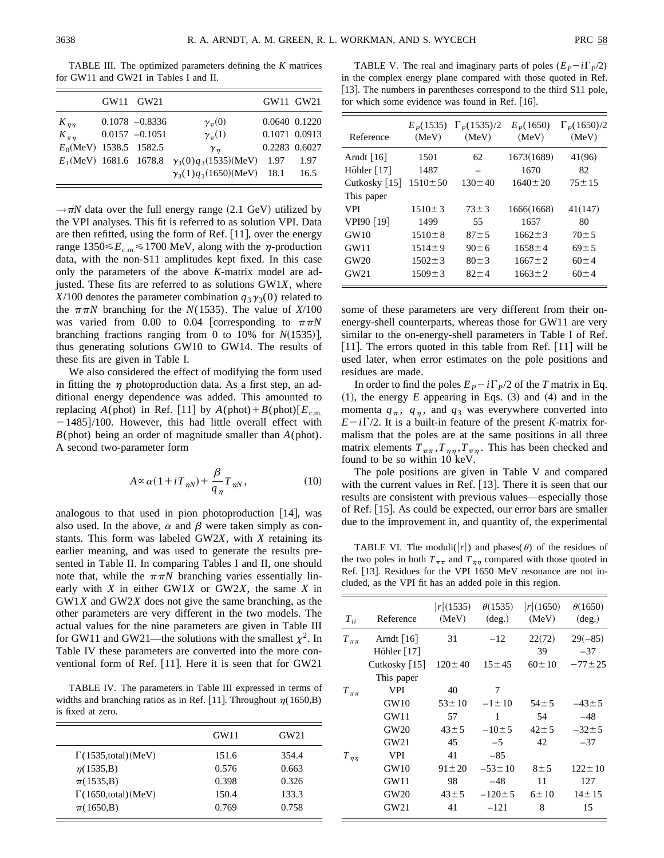TABLE III. The optimized parameters defining the *K* matrices for GW11 and GW21 in Tables I and II.

|                           | GW11 GW21         |                                  | GW11 GW21     |               |
|---------------------------|-------------------|----------------------------------|---------------|---------------|
| $K_{\eta\eta}$            | $0.1078 - 0.8336$ | $\gamma_\pi(0)$                  |               | 0.0640 0.1220 |
| $K_{\pi\eta}$             | $0.0157 - 0.1051$ | $\gamma_{\pi}(1)$                | 0.1071 0.0913 |               |
| $E_0$ (MeV) 1538.5 1582.5 |                   | $\gamma_n$                       |               | 0.2283 0.6027 |
| $E_1$ (MeV) 1681.6 1678.8 |                   | $\gamma_3(0)q_3(1535)(MeV)$      | -1.97         | 1.97          |
|                           |                   | $\gamma_3(1)q_3(1650)(MeV)$ 18.1 |               | 16.5          |

 $\rightarrow \pi N$  data over the full energy range (2.1 GeV) utilized by the VPI analyses. This fit is referred to as solution VPI. Data are then refitted, using the form of Ref.  $[11]$ , over the energy range  $1350 \le E_{\rm cm} \le 1700$  MeV, along with the  $\eta$ -production data, with the non-S11 amplitudes kept fixed. In this case only the parameters of the above *K*-matrix model are adjusted. These fits are referred to as solutions GW1*X*, where *X*/100 denotes the parameter combination  $q_3\gamma_3(0)$  related to the  $\pi\pi N$  branching for the *N*(1535). The value of *X*/100 was varied from 0.00 to 0.04 [corresponding to  $\pi \pi N$ branching fractions ranging from 0 to 10% for  $N(1535)$ , thus generating solutions GW10 to GW14. The results of these fits are given in Table I.

We also considered the effect of modifying the form used in fitting the  $\eta$  photoproduction data. As a first step, an additional energy dependence was added. This amounted to replacing *A*(phot) in Ref. [11] by  $A(\text{phot})+B(\text{phot})[E_{\text{c.m.}}]$  $-1485$ ]/100. However, this had little overall effect with *B*(phot) being an order of magnitude smaller than *A*(phot). A second two-parameter form

$$
A \propto \alpha (1 + iT_{\eta N}) + \frac{\beta}{q_{\eta}} T_{\eta N}, \qquad (10)
$$

analogous to that used in pion photoproduction  $[14]$ , was also used. In the above,  $\alpha$  and  $\beta$  were taken simply as constants. This form was labeled GW2*X*, with *X* retaining its earlier meaning, and was used to generate the results presented in Table II. In comparing Tables I and II, one should note that, while the  $\pi\pi N$  branching varies essentially linearly with *X* in either GW1*X* or GW2*X*, the same *X* in GW1*X* and GW2*X* does not give the same branching, as the other parameters are very different in the two models. The actual values for the nine parameters are given in Table III for GW11 and GW21—the solutions with the smallest  $\chi^2$ . In Table IV these parameters are converted into the more conventional form of Ref.  $[11]$ . Here it is seen that for GW21

TABLE IV. The parameters in Table III expressed in terms of widths and branching ratios as in Ref. [11]. Throughout  $\eta(1650,B)$ is fixed at zero.

|                                          | GW11  | GW21  |
|------------------------------------------|-------|-------|
| $\Gamma(1535, \text{total})$ (MeV)       | 151.6 | 354.4 |
| $\eta(1535,B)$                           | 0.576 | 0.663 |
| $\pi(1535,B)$                            | 0.398 | 0.326 |
| $\Gamma(1650, \text{total})(\text{MeV})$ | 150.4 | 133.3 |
| $\pi(1650,B)$                            | 0.769 | 0.758 |

TABLE V. The real and imaginary parts of poles  $(E_P - i\Gamma_P/2)$ in the complex energy plane compared with those quoted in Ref. [13]. The numbers in parentheses correspond to the third S11 pole, for which some evidence was found in Ref.  $[16]$ .

| Reference                   | $E_p(1535)$<br>(MeV) | $\Gamma_p(1535)/2$<br>(MeV) | $E_p(1650)$<br>(MeV) | $\Gamma_p(1650)/2$<br>(MeV) |
|-----------------------------|----------------------|-----------------------------|----------------------|-----------------------------|
| Arndt $\lceil 16 \rceil$    | 1501                 | 62                          | 1673(1689)           | 41(96)                      |
| Höhler $[17]$               | 1487                 |                             | 1670                 | 82                          |
| Cutkosky $\lceil 15 \rceil$ | $1510 \pm 50$        | $130 \pm 40$                | $1640 \pm 20$        | $75 \pm 15$                 |
| This paper                  |                      |                             |                      |                             |
| <b>VPI</b>                  | $1510 \pm 3$         | $73 \pm 3$                  | 1666(1668)           | 41(147)                     |
| VPI90 [19]                  | 1499                 | 55                          | 1657                 | 80                          |
| GW10                        | $1510 \pm 8$         | $87 + 5$                    | $1662 \pm 3$         | $70 \pm 5$                  |
| GW11                        | $1514 \pm 9$         | $90 \pm 6$                  | $1658 \pm 4$         | $69 \pm 5$                  |
| GW20                        | $1502 \pm 3$         | $80 \pm 3$                  | $1667 \pm 2$         | $60 \pm 4$                  |
| GW21                        | $1509 \pm 3$         | $82 + 4$                    | $1663 \pm 2$         | $60 \pm 4$                  |

some of these parameters are very different from their onenergy-shell counterparts, whereas those for GW11 are very similar to the on-energy-shell parameters in Table I of Ref.  $|11|$ . The errors quoted in this table from Ref.  $|11|$  will be used later, when error estimates on the pole positions and residues are made.

In order to find the poles  $E_P - i\Gamma_P/2$  of the *T* matrix in Eq.  $(1)$ , the energy  $E$  appearing in Eqs.  $(3)$  and  $(4)$  and in the momenta  $q_{\pi}$ ,  $q_{\eta}$ , and  $q_3$  was everywhere converted into  $E-i\Gamma/2$ . It is a built-in feature of the present *K*-matrix formalism that the poles are at the same positions in all three matrix elements  $T_{\pi\pi}$ ,  $T_{\eta\eta}$ ,  $T_{\pi\eta}$ . This has been checked and found to be so within 10 keV.

The pole positions are given in Table V and compared with the current values in Ref. [13]. There it is seen that our results are consistent with previous values—especially those of Ref.  $[15]$ . As could be expected, our error bars are smaller due to the improvement in, and quantity of, the experimental

TABLE VI. The moduli(|r|) and phases( $\theta$ ) of the residues of the two poles in both  $T_{\pi\pi}$  and  $T_{\eta\eta}$  compared with those quoted in Ref. [13]. Residues for the VPI 1650 MeV resonance are not included, as the VPI fit has an added pole in this region.

| $T_{ii}$       | Reference                   | $ r $ (1535)<br>(MeV) | $\theta(1535)$<br>$(\text{deg.})$ | $ r $ (1650)<br>(MeV) | $\theta(1650)$<br>$(\text{deg.})$ |
|----------------|-----------------------------|-----------------------|-----------------------------------|-----------------------|-----------------------------------|
| $T_{\pi\pi}$   | Arndt $ 16 $                | 31                    | $-12$                             | 22(72)                | $29(-85)$                         |
|                | Höhler $[17]$               |                       |                                   | 39                    | $-37$                             |
|                | Cutkosky $\lceil 15 \rceil$ | $120 \pm 40$          | $15 \pm 45$                       | $60 \pm 10$           | $-77 \pm 25$                      |
|                | This paper                  |                       |                                   |                       |                                   |
| $T_{\pi\pi}$   | <b>VPI</b>                  | 40                    | 7                                 |                       |                                   |
|                | GW10                        | $53 \pm 10$           | $-1 \pm 10$                       | $54 \pm 5$            | $-43 \pm 5$                       |
|                | GW11                        | 57                    | 1                                 | 54                    | $-48$                             |
|                | GW <sub>20</sub>            | $43 \pm 5$            | $-10\pm 5$                        | $42 \pm 5$            | $-32 \pm 5$                       |
|                | GW21                        | 45                    | $-5$                              | 42                    | $-37$                             |
| $T_{\eta\eta}$ | <b>VPI</b>                  | 41                    | $-85$                             |                       |                                   |
|                | GW10                        | $91 \pm 20$           | $-53 \pm 10$                      | $8\pm5$               | $122 \pm 10$                      |
|                | GW11                        | 98                    | $-48$                             | 11                    | 127                               |
|                | GW <sub>20</sub>            | $43 \pm 5$            | $-120 \pm 5$                      | $6 \pm 10$            | $14 \pm 15$                       |
|                | GW21                        | 41                    | $-121$                            | 8                     | 15                                |
|                |                             |                       |                                   |                       |                                   |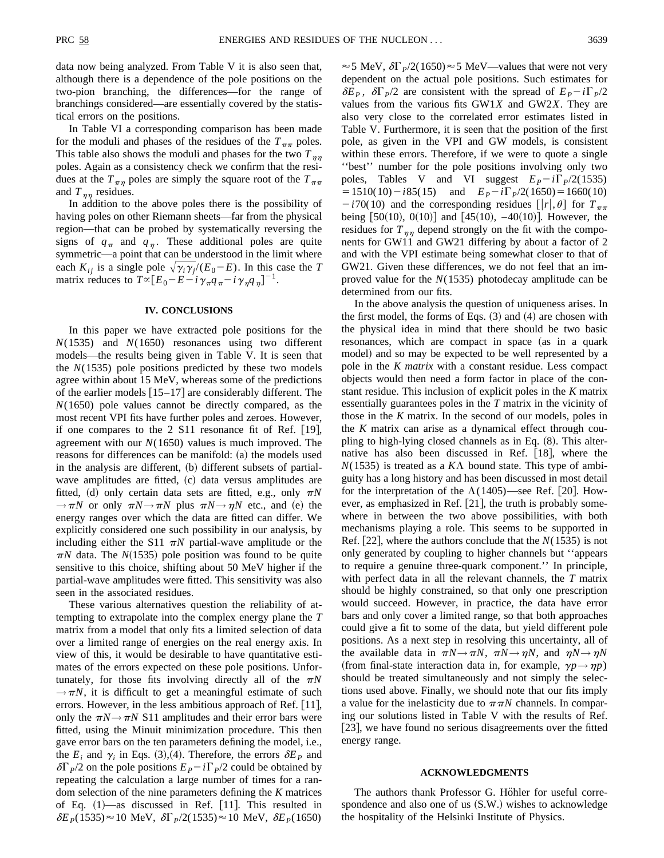data now being analyzed. From Table V it is also seen that, although there is a dependence of the pole positions on the two-pion branching, the differences—for the range of branchings considered—are essentially covered by the statistical errors on the positions.

In Table VI a corresponding comparison has been made for the moduli and phases of the residues of the  $T_{\pi\pi}$  poles. This table also shows the moduli and phases for the two  $T_{\eta\eta}$ poles. Again as a consistency check we confirm that the residues at the  $T_{\pi\eta}$  poles are simply the square root of the  $T_{\pi\pi}$ and  $T_{nn}$  residues.

In addition to the above poles there is the possibility of having poles on other Riemann sheets—far from the physical region—that can be probed by systematically reversing the signs of  $q_{\pi}$  and  $q_{\eta}$ . These additional poles are quite symmetric—a point that can be understood in the limit where each  $K_{ij}$  is a single pole  $\sqrt{\gamma_i \gamma_j}$   $(E_0 - E)$ . In this case the *T* matrix reduces to  $T \propto [E_0 - E - i \gamma_{\pi} q_{\pi} - i \gamma_{\eta} q_{\eta}]^{-1}$ .

## **IV. CONCLUSIONS**

In this paper we have extracted pole positions for the *N*(1535) and *N*(1650) resonances using two different models—the results being given in Table V. It is seen that the *N*(1535) pole positions predicted by these two models agree within about 15 MeV, whereas some of the predictions of the earlier models  $[15-17]$  are considerably different. The *N*(1650) pole values cannot be directly compared, as the most recent VPI fits have further poles and zeroes. However, if one compares to the 2 S11 resonance fit of Ref.  $[19]$ , agreement with our *N*(1650) values is much improved. The reasons for differences can be manifold: (a) the models used in the analysis are different,  $(b)$  different subsets of partialwave amplitudes are fitted,  $(c)$  data versus amplitudes are fitted, (d) only certain data sets are fitted, e.g., only  $\pi N$  $\rightarrow \pi N$  or only  $\pi N \rightarrow \pi N$  plus  $\pi N \rightarrow \eta N$  etc., and (e) the energy ranges over which the data are fitted can differ. We explicitly considered one such possibility in our analysis, by including either the S11  $\pi N$  partial-wave amplitude or the  $\pi N$  data. The *N*(1535) pole position was found to be quite sensitive to this choice, shifting about 50 MeV higher if the partial-wave amplitudes were fitted. This sensitivity was also seen in the associated residues.

These various alternatives question the reliability of attempting to extrapolate into the complex energy plane the *T* matrix from a model that only fits a limited selection of data over a limited range of energies on the real energy axis. In view of this, it would be desirable to have quantitative estimates of the errors expected on these pole positions. Unfortunately, for those fits involving directly all of the  $\pi N$  $\rightarrow \pi N$ , it is difficult to get a meaningful estimate of such errors. However, in the less ambitious approach of Ref.  $[11]$ , only the  $\pi N \rightarrow \pi N$  S11 amplitudes and their error bars were fitted, using the Minuit minimization procedure. This then gave error bars on the ten parameters defining the model, i.e., the  $E_i$  and  $\gamma_i$  in Eqs. (3), (4). Therefore, the errors  $\delta E_p$  and  $\delta\Gamma_P/2$  on the pole positions  $E_P - i\Gamma_P/2$  could be obtained by repeating the calculation a large number of times for a random selection of the nine parameters defining the *K* matrices of Eq.  $(1)$ —as discussed in Ref. [11]. This resulted in  $\delta E_p(1535) \approx 10 \text{ MeV}, \ \delta \Gamma_p/2(1535) \approx 10 \text{ MeV}, \ \delta E_p(1650)$ 

 $\approx$  5 MeV,  $\delta\Gamma_p/2(1650) \approx$  5 MeV—values that were not very dependent on the actual pole positions. Such estimates for  $\delta E_P$ ,  $\delta \Gamma_P/2$  are consistent with the spread of  $E_P - i \Gamma_P/2$ values from the various fits GW1*X* and GW2*X*. They are also very close to the correlated error estimates listed in Table V. Furthermore, it is seen that the position of the first pole, as given in the VPI and GW models, is consistent within these errors. Therefore, if we were to quote a single ''best'' number for the pole positions involving only two poles, Tables V and VI suggest  $E_P - i\Gamma_P/2(1535)$  $= 1510(10) - i85(15)$  and  $E_P - i\Gamma_P/2(1650) = 1660(10)$  $-i70(10)$  and the corresponding residues  $[|r|, \theta]$  for  $T_{\pi\pi}$ being  $[50(10), 0(10)]$  and  $[45(10), -40(10)]$ . However, the residues for  $T_{\eta\eta}$  depend strongly on the fit with the components for GW11 and GW21 differing by about a factor of 2 and with the VPI estimate being somewhat closer to that of GW21. Given these differences, we do not feel that an improved value for the *N*(1535) photodecay amplitude can be determined from our fits.

In the above analysis the question of uniqueness arises. In the first model, the forms of Eqs.  $(3)$  and  $(4)$  are chosen with the physical idea in mind that there should be two basic resonances, which are compact in space (as in a quark model) and so may be expected to be well represented by a pole in the *K matrix* with a constant residue. Less compact objects would then need a form factor in place of the constant residue. This inclusion of explicit poles in the *K* matrix essentially guarantees poles in the *T* matrix in the vicinity of those in the *K* matrix. In the second of our models, poles in the *K* matrix can arise as a dynamical effect through coupling to high-lying closed channels as in Eq.  $(8)$ . This alternative has also been discussed in Ref.  $[18]$ , where the  $N(1535)$  is treated as a  $K\Lambda$  bound state. This type of ambiguity has a long history and has been discussed in most detail for the interpretation of the  $\Lambda(1405)$ —see Ref. [20]. However, as emphasized in Ref.  $[21]$ , the truth is probably somewhere in between the two above possibilities, with both mechanisms playing a role. This seems to be supported in Ref.  $[22]$ , where the authors conclude that the *N*(1535) is not only generated by coupling to higher channels but ''appears to require a genuine three-quark component.'' In principle, with perfect data in all the relevant channels, the *T* matrix should be highly constrained, so that only one prescription would succeed. However, in practice, the data have error bars and only cover a limited range, so that both approaches could give a fit to some of the data, but yield different pole positions. As a next step in resolving this uncertainty, all of the available data in  $\pi N \rightarrow \pi N$ ,  $\pi N \rightarrow \eta N$ , and  $\eta N \rightarrow \eta N$  $(r \text{ from final-state interaction data in, for example, } \gamma p \rightarrow \gamma p)$ should be treated simultaneously and not simply the selections used above. Finally, we should note that our fits imply a value for the inelasticity due to  $\pi\pi N$  channels. In comparing our solutions listed in Table V with the results of Ref.  $[23]$ , we have found no serious disagreements over the fitted energy range.

### **ACKNOWLEDGMENTS**

The authors thank Professor G. Höhler for useful correspondence and also one of us  $(S.W.)$  wishes to acknowledge the hospitality of the Helsinki Institute of Physics.